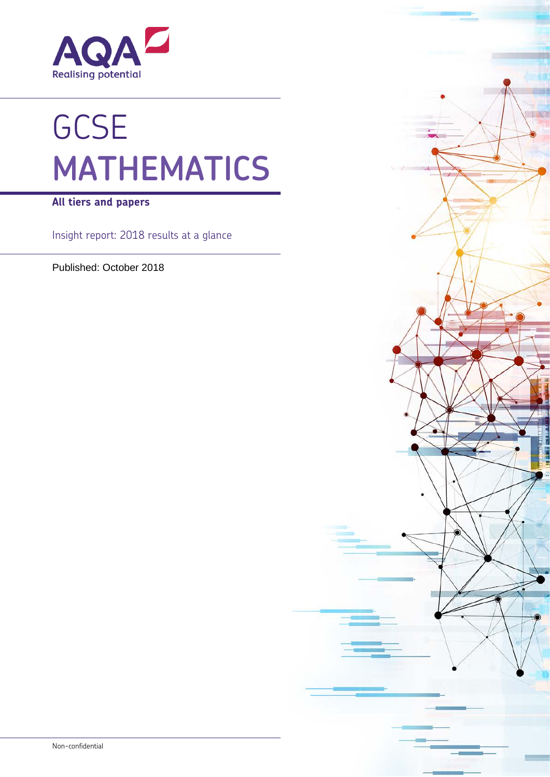

# **GCSE MATHEMATICS**

**All tiers and papers**

Insight report: 2018 results at a glance

Published: October 2018

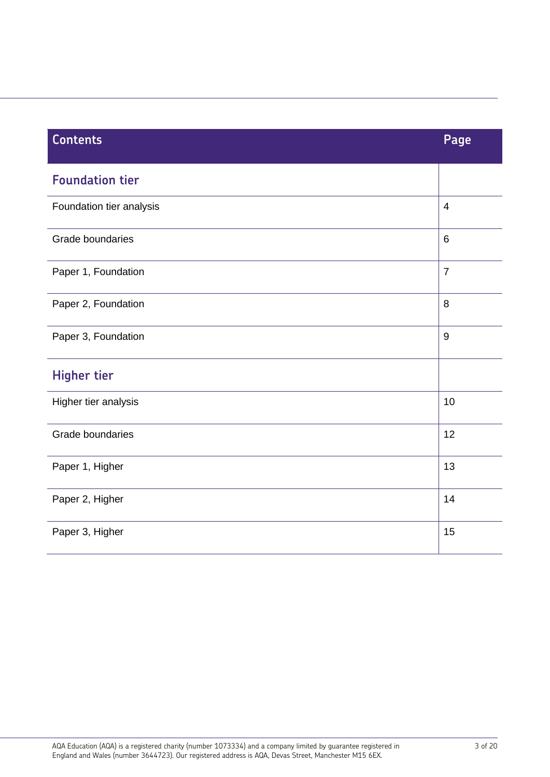| <b>Contents</b>          | Page                    |
|--------------------------|-------------------------|
| <b>Foundation tier</b>   |                         |
| Foundation tier analysis | $\overline{\mathbf{4}}$ |
| Grade boundaries         | 6                       |
| Paper 1, Foundation      | $\overline{7}$          |
| Paper 2, Foundation      | 8                       |
| Paper 3, Foundation      | $9\,$                   |
| <b>Higher tier</b>       |                         |
| Higher tier analysis     | 10                      |
| Grade boundaries         | 12                      |
| Paper 1, Higher          | 13                      |
| Paper 2, Higher          | 14                      |
| Paper 3, Higher          | 15                      |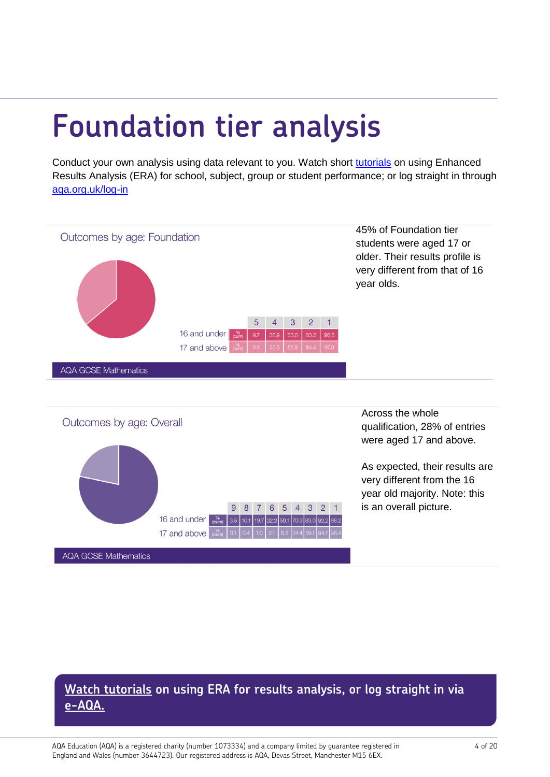# <span id="page-3-0"></span>**Foundation tier analysis**

Conduct your own analysis using data relevant to you. Watch short [tutorials](http://www.aqa.org.uk/contact-us/secure-services/enhanced-results-analysis/era-video-tutorials?utm_source=Results%20insight%20series%20maths&utm_medium=PDF%20resource&utm_campaign=Summer%2018%20RI) on using Enhanced Results Analysis (ERA) for school, subject, group or student performance; or log straight in through [aqa.org.uk/log-in](http://www.aqa.org.uk/log-in?utm_source=Results%20insight%20series%20Maths&utm_medium=PDF%20resource&utm_campaign=Summer%2018%20RI)



## **[Watch tutorials](http://www.aqa.org.uk/contact-us/secure-services/enhanced-results-analysis/era-video-tutorials?utm_source=Results%20insight%20series%20maths&utm_medium=PDF%20resource&utm_campaign=Summer%2018%20RI) on using ERA for results analysis, or log straight in via [e-AQA.](http://www.aqa.org.uk/log-in?utm_source=Results%20insight%20series%20Maths&utm_medium=PDF%20resource&utm_campaign=Summer%2018%20RI)**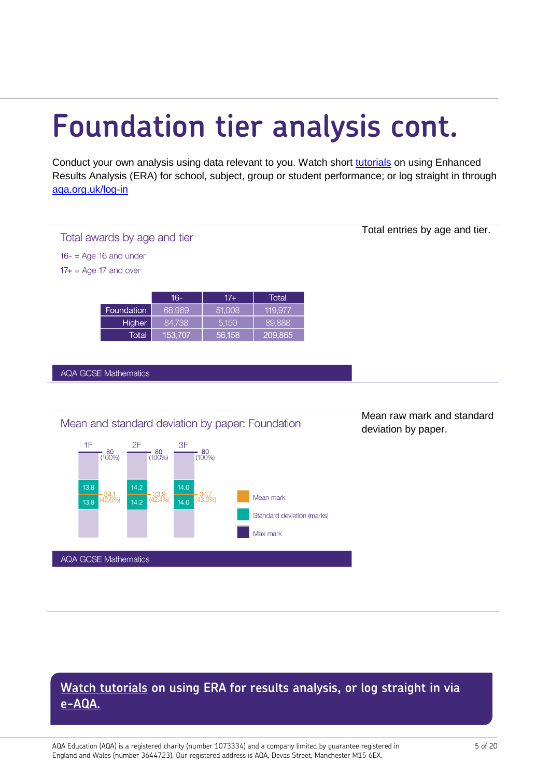# **Foundation tier analysis cont.**

Conduct your own analysis using data relevant to you. Watch short [tutorials](http://www.aqa.org.uk/contact-us/secure-services/enhanced-results-analysis/era-video-tutorials?utm_source=Results%20insight%20series%20maths&utm_medium=PDF%20resource&utm_campaign=Summer%2018%20RI) on using Enhanced Results Analysis (ERA) for school, subject, group or student performance; or log straight in through [aqa.org.uk/log-in](http://www.aqa.org.uk/log-in?utm_source=Results%20insight%20series%20Maths&utm_medium=PDF%20resource&utm_campaign=Summer%2018%20RI) 



## **[Watch tutorials](http://www.aqa.org.uk/contact-us/secure-services/enhanced-results-analysis/era-video-tutorials?utm_source=Results%20insight%20series%20maths&utm_medium=PDF%20resource&utm_campaign=Summer%2018%20RI) on using ERA for results analysis, or log straight in via [e-AQA.](http://www.aqa.org.uk/log-in?utm_source=Results%20insight%20series%20Maths&utm_medium=PDF%20resource&utm_campaign=Summer%2018%20RI)**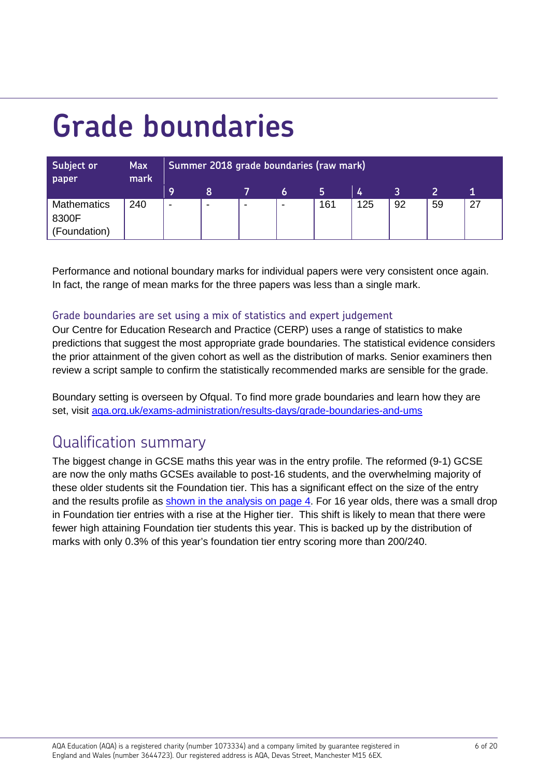# <span id="page-5-0"></span>**Grade boundaries**

| Subject or<br>paper                         | <b>Max</b><br>mark | Summer 2018 grade boundaries (raw mark) |      |                          |   |     |     |    |    |    |
|---------------------------------------------|--------------------|-----------------------------------------|------|--------------------------|---|-----|-----|----|----|----|
|                                             |                    | 9                                       | 8    |                          | O |     | 4   |    |    |    |
| <b>Mathematics</b><br>8300F<br>(Foundation) | 240                | ٠                                       | $\,$ | $\overline{\phantom{a}}$ | - | 161 | 125 | 92 | 59 | 27 |

Performance and notional boundary marks for individual papers were very consistent once again. In fact, the range of mean marks for the three papers was less than a single mark.

### Grade boundaries are set using a mix of statistics and expert judgement

Our Centre for Education Research and Practice (CERP) uses a range of statistics to make predictions that suggest the most appropriate grade boundaries. The statistical evidence considers the prior attainment of the given cohort as well as the distribution of marks. Senior examiners then review a script sample to confirm the statistically recommended marks are sensible for the grade.

Boundary setting is overseen by Ofqual. To find more grade boundaries and learn how they are set, visit [aqa.org.uk/exams-administration/results-days/grade-boundaries-and-ums](http://www.aqa.org.uk/exams-administration/results-days/grade-boundaries-and-ums?utm_source=Results%20insight%20series%20maths&utm_medium=PDF%20resource&utm_campaign=Summer%2018%20RI)

## Qualification summary

The biggest change in GCSE maths this year was in the entry profile. The reformed (9-1) GCSE are now the only maths GCSEs available to post-16 students, and the overwhelming majority of these older students sit the Foundation tier. This has a significant effect on the size of the entry and the results profile as [shown in the analysis on page 4.](#page-3-0) For 16 year olds, there was a small drop in Foundation tier entries with a rise at the Higher tier. This shift is likely to mean that there were fewer high attaining Foundation tier students this year. This is backed up by the distribution of marks with only 0.3% of this year's foundation tier entry scoring more than 200/240.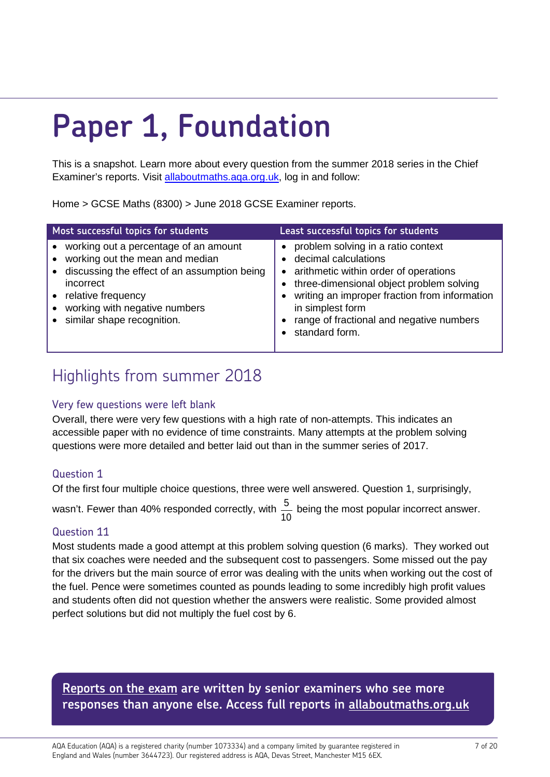# <span id="page-6-0"></span>**Paper 1, Foundation**

This is a snapshot. Learn more about every question from the summer 2018 series in the Chief Examiner's reports. Visit [allaboutmaths.aqa.org.uk,](https://allaboutmaths.aqa.org.uk/index.php?CurrMenu=842&utm_source=Results%20insight%20series%20maths&utm_medium=PDF%20resource&utm_campaign=Summer%2018%20RI) log in and follow:

Home > GCSE Maths (8300) > June 2018 [GCSE Examiner reports.](https://allaboutmaths.aqa.org.uk/1651)

| Most successful topics for students                                                                                                                                                                                                                                     | Least successful topics for students                                                                                                                                                                                                                                               |
|-------------------------------------------------------------------------------------------------------------------------------------------------------------------------------------------------------------------------------------------------------------------------|------------------------------------------------------------------------------------------------------------------------------------------------------------------------------------------------------------------------------------------------------------------------------------|
| working out a percentage of an amount<br>$\bullet$<br>working out the mean and median<br>$\bullet$<br>• discussing the effect of an assumption being<br>incorrect<br>• relative frequency<br>working with negative numbers<br>$\bullet$<br>• similar shape recognition. | problem solving in a ratio context<br>decimal calculations<br>arithmetic within order of operations<br>three-dimensional object problem solving<br>writing an improper fraction from information<br>in simplest form<br>range of fractional and negative numbers<br>standard form. |

## Highlights from summer 2018

### Very few questions were left blank

Overall, there were very few questions with a high rate of non-attempts. This indicates an accessible paper with no evidence of time constraints. Many attempts at the problem solving questions were more detailed and better laid out than in the summer series of 2017.

### Question 1

Of the first four multiple choice questions, three were well answered. Question 1, surprisingly,

wasn't. Fewer than 40% responded correctly, with  $\frac{5}{10}$  being the most popular incorrect answer.

### Question 11

Most students made a good attempt at this problem solving question (6 marks). They worked out that six coaches were needed and the subsequent cost to passengers. Some missed out the pay for the drivers but the main source of error was dealing with the units when working out the cost of the fuel. Pence were sometimes counted as pounds leading to some incredibly high profit values and students often did not question whether the answers were realistic. Some provided almost perfect solutions but did not multiply the fuel cost by 6.

## **Reports on the exam** are written by senior examiners who see more **happened in each exam series. Visit [aqa.org.uk/maths-cpd](http://www.aqa.org.uk/professional-development/search?collection=aqa-cpd&num_ranks=10&form=course-search&f.Levels%7CG=GCSE&f.Subjects%7CD=Mathematics&utm_source=Results%20insight%20series%20maths&utm_medium=PDF%20resource&utm_campaign=Summer%2018%20RI) responses than anyone else. Access full reports in [allaboutmaths.org.uk](https://allaboutmaths.aqa.org.uk/index.php?CurrMenu=842&utm_source=Results%20insight%20series%20maths&utm_medium=PDF%20resource&utm_campaign=Summer%2018%20RI)**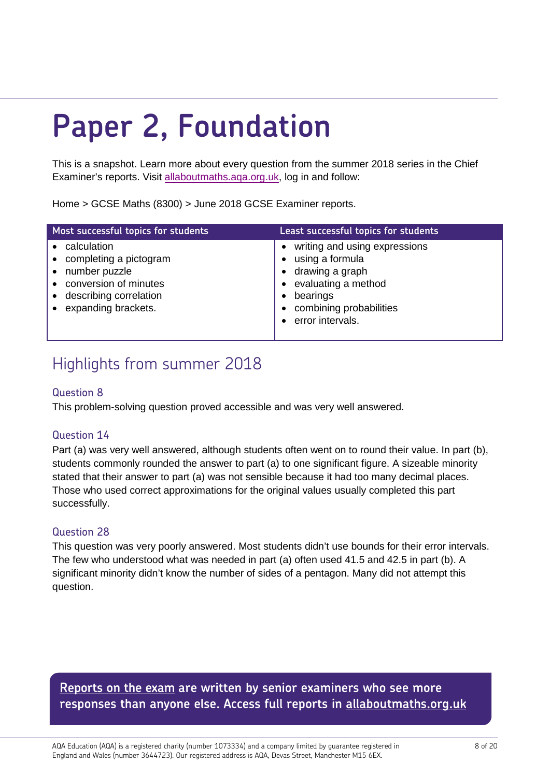# <span id="page-7-0"></span>**Paper 2, Foundation**

This is a snapshot. Learn more about every question from the summer 2018 series in the Chief Examiner's reports. Visit [allaboutmaths.aqa.org.uk,](https://allaboutmaths.aqa.org.uk/index.php?CurrMenu=842&utm_source=Results%20insight%20series%20maths&utm_medium=PDF%20resource&utm_campaign=Summer%2018%20RI) log in and follow:

Home > GCSE Maths (8300) > June 2018 [GCSE Examiner reports.](https://allaboutmaths.aqa.org.uk/1651)

| Most successful topics for students                                                                                                                          | <b>Least successful topics for students</b>                                                                                                           |
|--------------------------------------------------------------------------------------------------------------------------------------------------------------|-------------------------------------------------------------------------------------------------------------------------------------------------------|
| calculation<br>• completing a pictogram<br>number puzzle<br>$\bullet$<br>conversion of minutes<br>describing correlation<br>$\bullet$<br>expanding brackets. | writing and using expressions<br>using a formula<br>drawing a graph<br>evaluating a method<br>bearings<br>combining probabilities<br>error intervals. |

## Highlights from summer 2018

### Question 8

This problem-solving question proved accessible and was very well answered.

### Question 14

Part (a) was very well answered, although students often went on to round their value. In part (b), students commonly rounded the answer to part (a) to one significant figure. A sizeable minority stated that their answer to part (a) was not sensible because it had too many decimal places. Those who used correct approximations for the original values usually completed this part successfully.

### Question 28

This question was very poorly answered. Most students didn't use bounds for their error intervals. The few who understood what was needed in part (a) often used 41.5 and 42.5 in part (b). A significant minority didn't know the number of sides of a pentagon. Many did not attempt this question.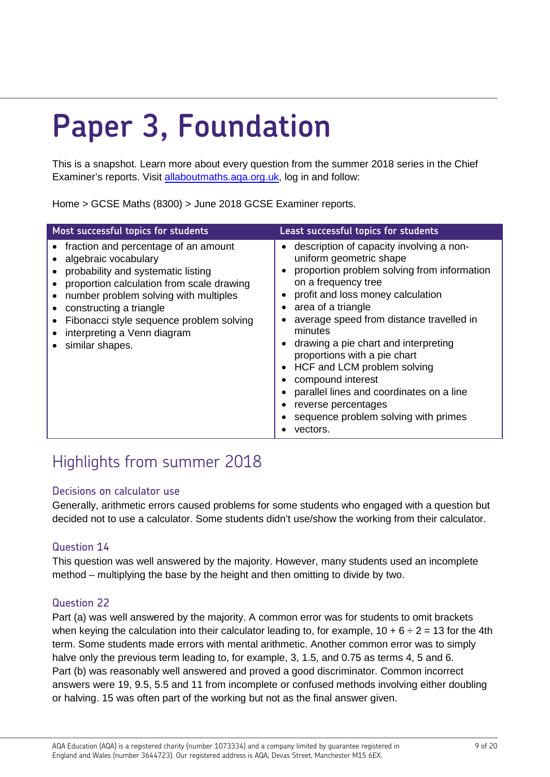# <span id="page-8-0"></span>**Paper 3, Foundation**

This is a snapshot. Learn more about every question from the summer 2018 series in the Chief Examiner's reports. Visit [allaboutmaths.aqa.org.uk,](https://allaboutmaths.aqa.org.uk/index.php?CurrMenu=842&utm_source=Results%20insight%20series%20maths&utm_medium=PDF%20resource&utm_campaign=Summer%2018%20RI) log in and follow:

Home > GCSE Maths (8300) > June 2018 [GCSE Examiner reports.](https://allaboutmaths.aqa.org.uk/1651)

| Most successful topics for students                                                                                                                                                                                                                                                                               | Least successful topics for students                                                                                                                                                                                                                                                                                                                                                                                                                                                                             |
|-------------------------------------------------------------------------------------------------------------------------------------------------------------------------------------------------------------------------------------------------------------------------------------------------------------------|------------------------------------------------------------------------------------------------------------------------------------------------------------------------------------------------------------------------------------------------------------------------------------------------------------------------------------------------------------------------------------------------------------------------------------------------------------------------------------------------------------------|
| fraction and percentage of an amount<br>algebraic vocabulary<br>probability and systematic listing<br>proportion calculation from scale drawing<br>number problem solving with multiples<br>constructing a triangle<br>Fibonacci style sequence problem solving<br>interpreting a Venn diagram<br>similar shapes. | description of capacity involving a non-<br>uniform geometric shape<br>proportion problem solving from information<br>on a frequency tree<br>profit and loss money calculation<br>area of a triangle<br>average speed from distance travelled in<br>minutes<br>drawing a pie chart and interpreting<br>proportions with a pie chart<br>• HCF and LCM problem solving<br>compound interest<br>parallel lines and coordinates on a line<br>reverse percentages<br>sequence problem solving with primes<br>vectors. |

## Highlights from summer 2018

### Decisions on calculator use

Generally, arithmetic errors caused problems for some students who engaged with a question but decided not to use a calculator. Some students didn't use/show the working from their calculator.

### Question 14

This question was well answered by the majority. However, many students used an incomplete method – multiplying the base by the height and then omitting to divide by two.

### Question 22

Part (a) was well answered by the majority. A common error was for students to omit brackets when keying the calculation into their calculator leading to, for example,  $10 + 6 \div 2 = 13$  for the 4th term. Some students made errors with mental arithmetic. Another common error was to simply halve only the previous term leading to, for example, 3, 1.5, and 0.75 as terms 4, 5 and 6. Part (b) was reasonably well answered and proved a good discriminator. Common incorrect answers were 19, 9.5, 5.5 and 11 from incomplete or confused methods involving either doubling or halving. 15 was often part of the working but not as the final answer given.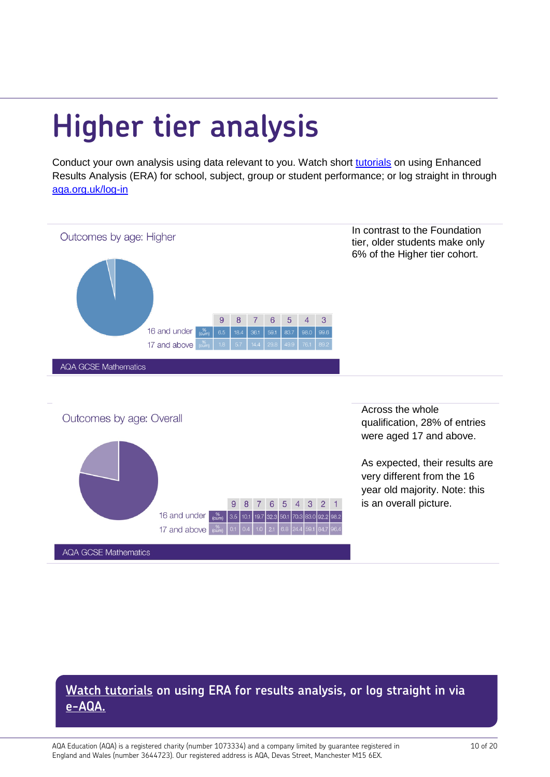# <span id="page-9-0"></span>**Higher tier analysis**

Conduct your own analysis using data relevant to you. Watch short [tutorials](http://www.aqa.org.uk/contact-us/secure-services/enhanced-results-analysis/era-video-tutorials?utm_source=Results%20insight%20series%20maths&utm_medium=PDF%20resource&utm_campaign=Summer%2018%20RI) on using Enhanced Results Analysis (ERA) for school, subject, group or student performance; or log straight in through [aqa.org.uk/log-in](http://www.aqa.org.uk/log-in?utm_source=Results%20insight%20series%20Maths&utm_medium=PDF%20resource&utm_campaign=Summer%2018%20RI) 



## **[Watch tutorials](http://www.aqa.org.uk/contact-us/secure-services/enhanced-results-analysis/era-video-tutorials?utm_source=Results%20insight%20series%20maths&utm_medium=PDF%20resource&utm_campaign=Summer%2018%20RI) on using ERA for results analysis, or log straight in via [e-AQA.](http://www.aqa.org.uk/log-in?utm_source=Results%20insight%20series%20Maths&utm_medium=PDF%20resource&utm_campaign=Summer%2018%20RI)**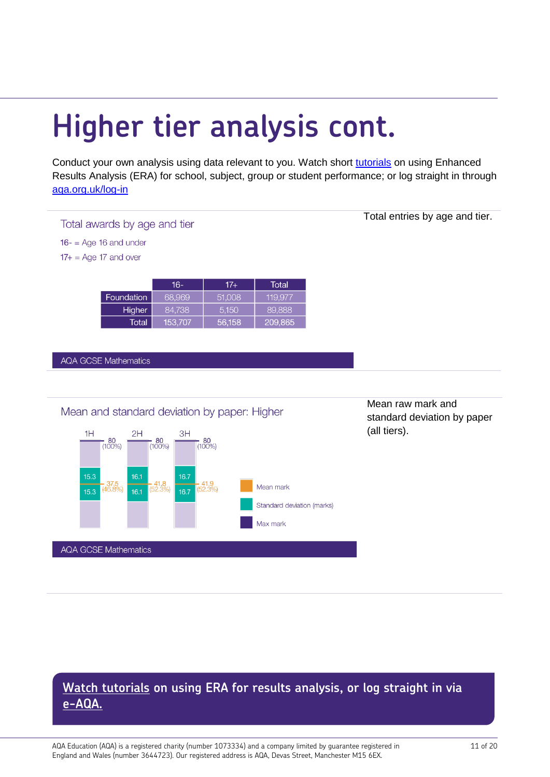# **Higher tier analysis cont.**

Conduct your own analysis using data relevant to you. Watch short [tutorials](http://www.aqa.org.uk/contact-us/secure-services/enhanced-results-analysis/era-video-tutorials?utm_source=Results%20insight%20series%20maths&utm_medium=PDF%20resource&utm_campaign=Summer%2018%20RI) on using Enhanced Results Analysis (ERA) for school, subject, group or student performance; or log straight in through [aqa.org.uk/log-in](http://www.aqa.org.uk/log-in?utm_source=Results%20insight%20series%20Maths&utm_medium=PDF%20resource&utm_campaign=Summer%2018%20RI) 

#### Total awards by age and tier

 $16 - 2$  Age 16 and under

 $17+$  = Age 17 and over

|               | <b>T61</b> | 17+    | Total   |
|---------------|------------|--------|---------|
| Foundation    | 68,969     | 51.008 | 119.977 |
| <b>Higher</b> | 84.738     | 5.150  | 89.888  |
| Total'        | 153,707    | 56,158 | 209,865 |

**AQA GCSE Mathematics** 



Mean raw mark and standard deviation by paper (all tiers).

Total entries by age and tier.

## **[Watch tutorials](http://www.aqa.org.uk/contact-us/secure-services/enhanced-results-analysis/era-video-tutorials?utm_source=Results%20insight%20series%20maths&utm_medium=PDF%20resource&utm_campaign=Summer%2018%20RI) on using ERA for results analysis, or log straight in via [e-AQA.](http://www.aqa.org.uk/log-in?utm_source=Results%20insight%20series%20Maths&utm_medium=PDF%20resource&utm_campaign=Summer%2018%20RI)**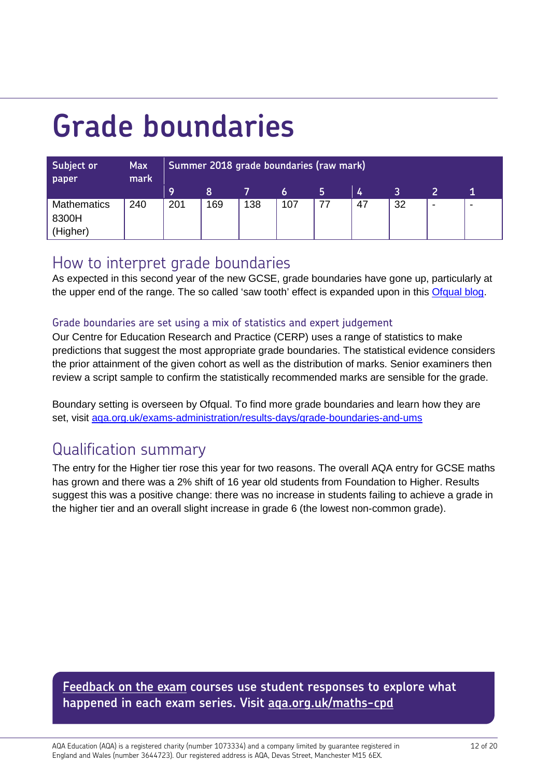# <span id="page-11-0"></span>**Grade boundaries**

| Subject or<br>paper | <b>Max</b><br>mark | Summer 2018 grade boundaries (raw mark) |     |     |     |   |    |    |                          |   |
|---------------------|--------------------|-----------------------------------------|-----|-----|-----|---|----|----|--------------------------|---|
|                     |                    | 9                                       | 8   |     |     | כ | 4  |    |                          |   |
| <b>Mathematics</b>  | 240                | 201                                     | 169 | 138 | 107 |   | 47 | 32 | $\overline{\phantom{a}}$ | - |
| 8300H               |                    |                                         |     |     |     |   |    |    |                          |   |
| (Higher)            |                    |                                         |     |     |     |   |    |    |                          |   |

## How to interpret grade boundaries

As expected in this second year of the new GCSE, grade boundaries have gone up, particularly at the upper end of the range. The so called 'saw tooth' effect is expanded upon in this [Ofqual blog.](https://www.gov.uk/government/publications/investigation-into-the-sawtooth-effect-in-gcses-as-and-a-levels)

### Grade boundaries are set using a mix of statistics and expert judgement

Our Centre for Education Research and Practice (CERP) uses a range of statistics to make predictions that suggest the most appropriate grade boundaries. The statistical evidence considers the prior attainment of the given cohort as well as the distribution of marks. Senior examiners then review a script sample to confirm the statistically recommended marks are sensible for the grade.

Boundary setting is overseen by Ofqual. To find more grade boundaries and learn how they are set, visit [aqa.org.uk/exams-administration/results-days/grade-boundaries-and-ums](http://www.aqa.org.uk/exams-administration/results-days/grade-boundaries-and-ums?utm_source=Results%20insight%20series%20maths&utm_medium=PDF%20resource&utm_campaign=Summer%2018%20RI)

## Qualification summary

The entry for the Higher tier rose this year for two reasons. The overall AQA entry for GCSE maths has grown and there was a 2% shift of 16 year old students from Foundation to Higher. Results suggest this was a positive change: there was no increase in students failing to achieve a grade in the higher tier and an overall slight increase in grade 6 (the lowest non-common grade).

**[Feedback on the exam](http://www.aqa.org.uk/professional-development/search?collection=aqa-cpd&num_ranks=10&form=course-search&f.Levels%7CG=GCSE&f.Subjects%7CD=Mathematics&utm_source=Results%20insight%20series%20maths&utm_medium=PDF%20resource&utm_campaign=Summer%2018%20RI) courses use student responses to explore what happened in each exam series. Visit [aqa.org.uk/maths-cpd](http://www.aqa.org.uk/professional-development/search?collection=aqa-cpd&num_ranks=10&form=course-search&f.Levels%7CG=GCSE&f.Subjects%7CD=Mathematics&utm_source=Results%20insight%20series%20maths&utm_medium=PDF%20resource&utm_campaign=Summer%2018%20RI)**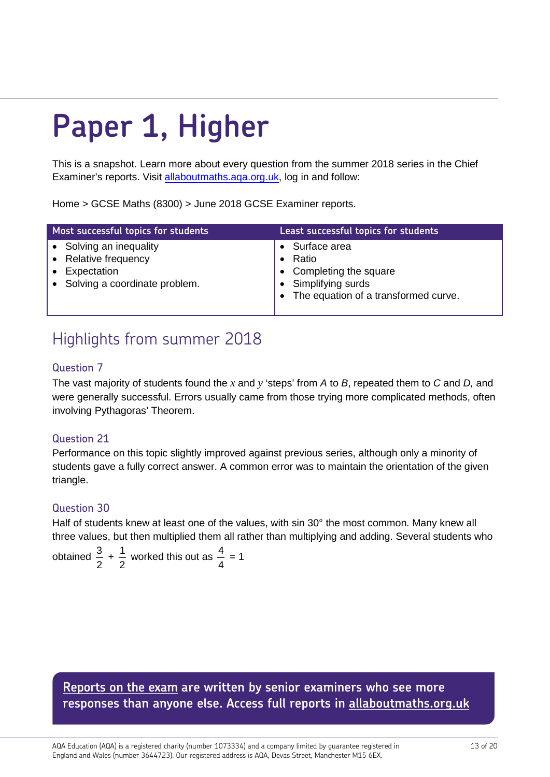# <span id="page-12-0"></span>**Paper 1, Higher**

This is a snapshot. Learn more about every question from the summer 2018 series in the Chief Examiner's reports. Visit [allaboutmaths.aqa.org.uk,](https://allaboutmaths.aqa.org.uk/index.php?CurrMenu=842&utm_source=Results%20insight%20series%20maths&utm_medium=PDF%20resource&utm_campaign=Summer%2018%20RI) log in and follow:

Home > GCSE Maths (8300) > June 2018 [GCSE Examiner reports.](https://allaboutmaths.aqa.org.uk/1651)

| Most successful topics for students                                                                 | Least successful topics for students                                                                        |
|-----------------------------------------------------------------------------------------------------|-------------------------------------------------------------------------------------------------------------|
| • Solving an inequality<br>• Relative frequency<br>• Expectation<br>• Solving a coordinate problem. | Surface area<br>Ratio<br>Completing the square<br>Simplifying surds<br>The equation of a transformed curve. |

## Highlights from summer 2018

### Question 7

The vast majority of students found the *x* and *y* 'steps' from *A* to *B*, repeated them to *C* and *D,* and were generally successful. Errors usually came from those trying more complicated methods, often involving Pythagoras' Theorem.

### Question 21

Performance on this topic slightly improved against previous series, although only a minority of students gave a fully correct answer. A common error was to maintain the orientation of the given triangle.

### Question 30

Half of students knew at least one of the values, with sin 30° the most common. Many knew all three values, but then multiplied them all rather than multiplying and adding. Several students who

obtained 2  $\frac{3}{2}$  + 2  $\frac{1}{6}$  worked this out as 4  $\frac{4}{1}$  = 1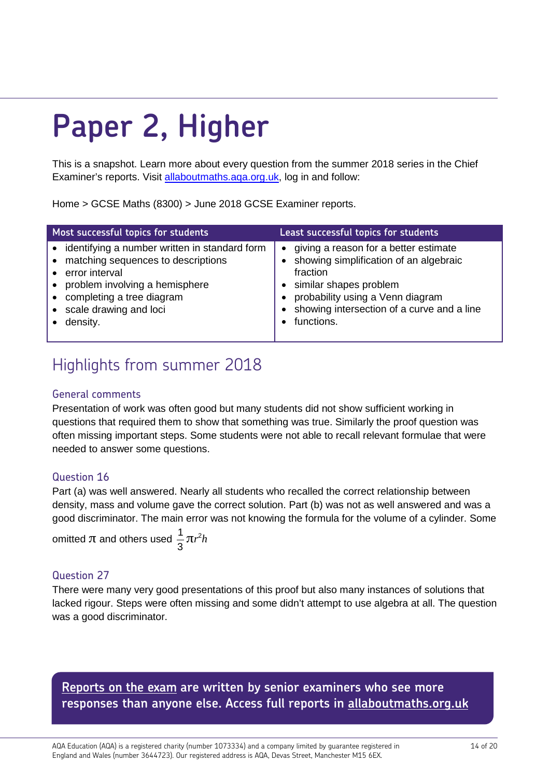# <span id="page-13-0"></span>**Paper 2, Higher**

This is a snapshot. Learn more about every question from the summer 2018 series in the Chief Examiner's reports. Visit [allaboutmaths.aqa.org.uk,](https://allaboutmaths.aqa.org.uk/index.php?CurrMenu=842&utm_source=Results%20insight%20series%20maths&utm_medium=PDF%20resource&utm_campaign=Summer%2018%20RI) log in and follow:

Home > GCSE Maths (8300) > June 2018 [GCSE Examiner reports.](https://allaboutmaths.aqa.org.uk/1651)

| Most successful topics for students                                                                                                                                                                                    | Least successful topics for students                                                                                                                                                                                               |
|------------------------------------------------------------------------------------------------------------------------------------------------------------------------------------------------------------------------|------------------------------------------------------------------------------------------------------------------------------------------------------------------------------------------------------------------------------------|
| • identifying a number written in standard form<br>• matching sequences to descriptions<br>• error interval<br>• problem involving a hemisphere<br>• completing a tree diagram<br>• scale drawing and loci<br>density. | giving a reason for a better estimate<br>$\bullet$<br>showing simplification of an algebraic<br>fraction<br>similar shapes problem<br>probability using a Venn diagram<br>showing intersection of a curve and a line<br>functions. |

## Highlights from summer 2018

#### General comments

Presentation of work was often good but many students did not show sufficient working in questions that required them to show that something was true. Similarly the proof question was often missing important steps. Some students were not able to recall relevant formulae that were needed to answer some questions.

### Question 16

Part (a) was well answered. Nearly all students who recalled the correct relationship between density, mass and volume gave the correct solution. Part (b) was not as well answered and was a good discriminator. The main error was not knowing the formula for the volume of a cylinder. Some

omitted  $\pi$  and others used 3  $\frac{1}{2}$ πr<sup>2</sup>h

### Question 27

There were many very good presentations of this proof but also many instances of solutions that lacked rigour. Steps were often missing and some didn't attempt to use algebra at all. The question was a good discriminator.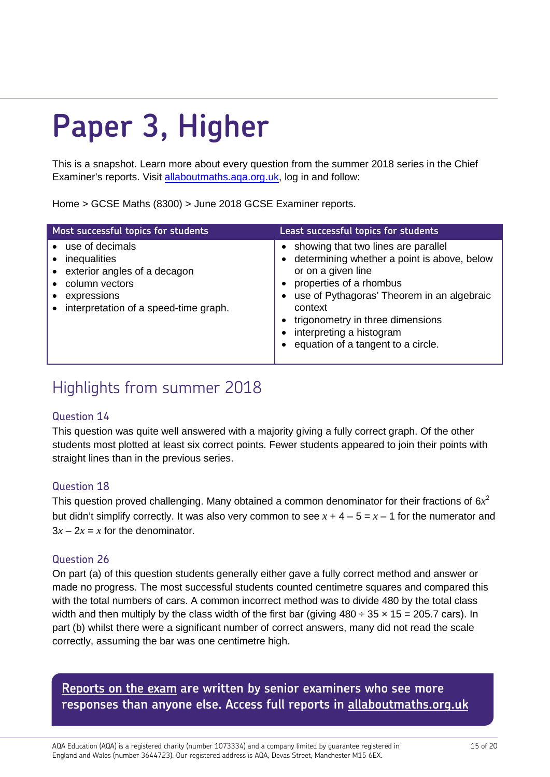# <span id="page-14-0"></span>**Paper 3, Higher**

This is a snapshot. Learn more about every question from the summer 2018 series in the Chief Examiner's reports. Visit [allaboutmaths.aqa.org.uk,](https://allaboutmaths.aqa.org.uk/index.php?CurrMenu=842&utm_source=Results%20insight%20series%20maths&utm_medium=PDF%20resource&utm_campaign=Summer%2018%20RI) log in and follow:

Home > GCSE Maths (8300) > June 2018 [GCSE Examiner reports.](https://allaboutmaths.aqa.org.uk/1651)

| Most successful topics for students                                                                                                               | Least successful topics for students                                                                                                                                                                                                                                                                 |
|---------------------------------------------------------------------------------------------------------------------------------------------------|------------------------------------------------------------------------------------------------------------------------------------------------------------------------------------------------------------------------------------------------------------------------------------------------------|
| • use of decimals<br>• inequalities<br>• exterior angles of a decagon<br>column vectors<br>expressions<br>• interpretation of a speed-time graph. | • showing that two lines are parallel<br>determining whether a point is above, below<br>or on a given line<br>properties of a rhombus<br>use of Pythagoras' Theorem in an algebraic<br>context<br>trigonometry in three dimensions<br>interpreting a histogram<br>equation of a tangent to a circle. |

## Highlights from summer 2018

#### Question 14

This question was quite well answered with a majority giving a fully correct graph. Of the other students most plotted at least six correct points. Fewer students appeared to join their points with straight lines than in the previous series.

### Question 18

This question proved challenging. Many obtained a common denominator for their fractions of 6*x*<sup>2</sup> but didn't simplify correctly. It was also very common to see  $x + 4 - 5 = x - 1$  for the numerator and  $3x - 2x = x$  for the denominator.

### Question 26

On part (a) of this question students generally either gave a fully correct method and answer or made no progress. The most successful students counted centimetre squares and compared this with the total numbers of cars. A common incorrect method was to divide 480 by the total class width and then multiply by the class width of the first bar (giving  $480 \div 35 \times 15 = 205.7$  cars). In part (b) whilst there were a significant number of correct answers, many did not read the scale correctly, assuming the bar was one centimetre high.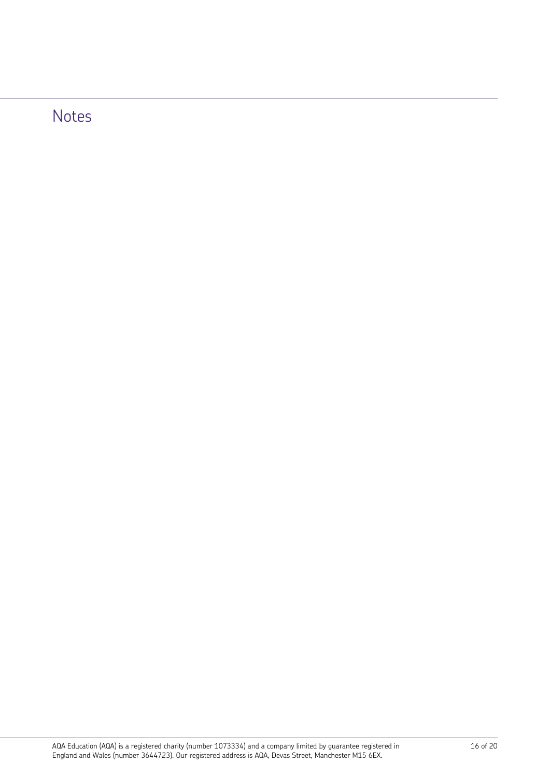## Notes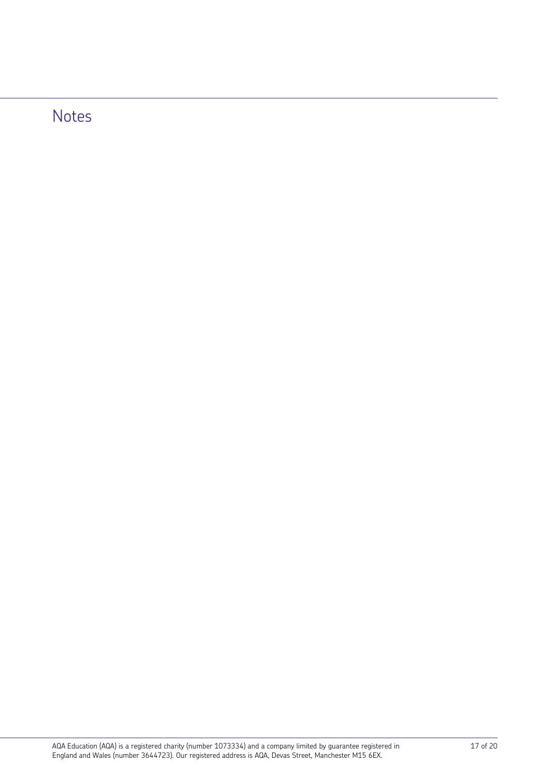## Notes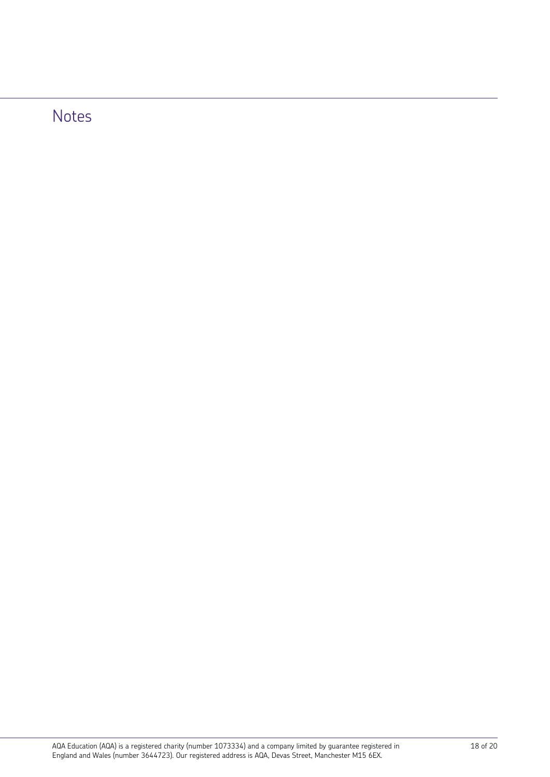## Notes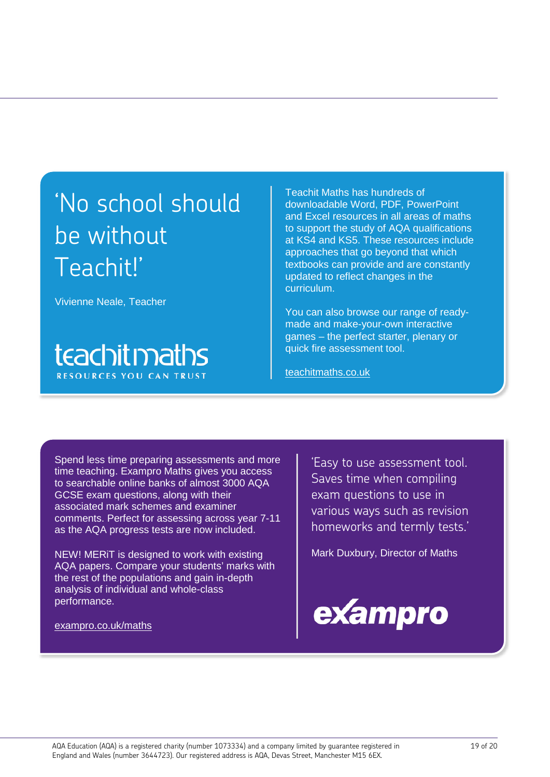## 'No school should be without Teachit!'

Vivienne Neale, Teacher

## teachitmaths **RESOURCES YOU CAN TRUST**

Teachit Maths has hundreds of downloadable Word, PDF, PowerPoint and Excel resources in all areas of maths to support the study of AQA qualifications at KS4 and KS5. These resources include approaches that go beyond that which textbooks can provide and are constantly updated to reflect changes in the curriculum.

You can also browse our range of readymade and make-your-own interactive games – the perfect starter, plenary or quick fire assessment tool.

[teachitmaths.co.uk](http://www.teachitmaths.co.uk/)

Spend less time preparing assessments and more time teaching. Exampro Maths gives you access to searchable online banks of almost 3000 AQA GCSE exam questions, along with their associated mark schemes and examiner comments. Perfect for assessing across year 7-11 as the AQA progress tests are now included.

NEW! MERiT is designed to work with existing AQA papers. Compare your students' marks with the rest of the populations and gain in-depth analysis of individual and whole-class performance.

[exampro.co.uk/maths](http://www.exampro.co.uk/maths)

'Easy to use assessment tool. Saves time when compiling exam questions to use in various ways such as revision homeworks and termly tests.'

Mark Duxbury, Director of Maths